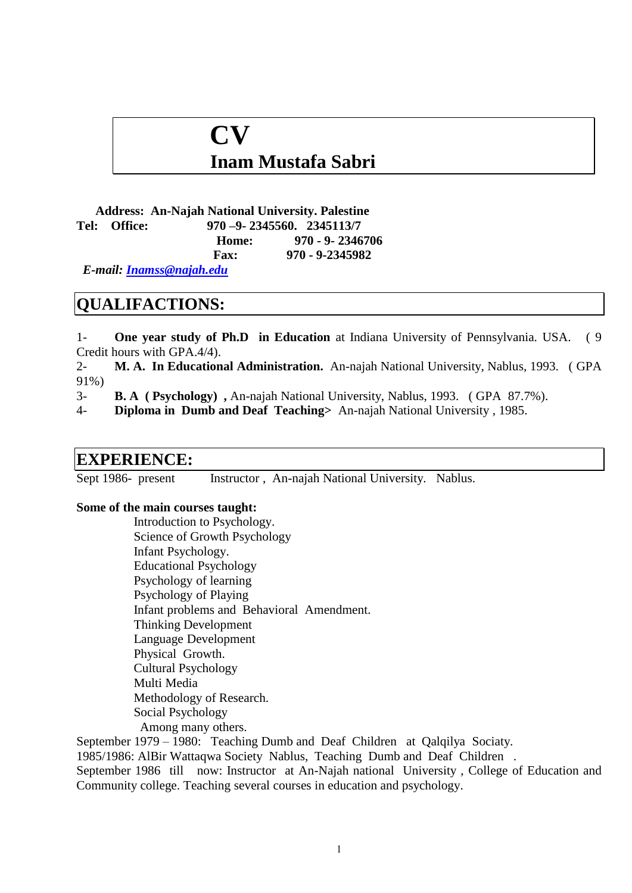# **CV**

## **Inam Mustafa Sabri**

**Address: An-Najah National University. Palestine Tel: Office: 970 –9- 2345560. 2345113/7 Home: 970 - 9- 2346706**

 **Fax: 970 - 9-2345982**

 *E-mail: [Inamss@najah.edu](mailto:Inamss@najah.edu)*

### **QUALIFACTIONS:**

1- **One year study of Ph.D in Education** at Indiana University of Pennsylvania. USA. ( 9 Credit hours with GPA.4/4).

2- **M. A. In Educational Administration.** An-najah National University, Nablus, 1993. ( GPA 91%)

3- **B. A ( Psychology) ,** An-najah National University, Nablus, 1993. ( GPA 87.7%).

4- **Diploma in Dumb and Deaf Teaching>** An-najah National University , 1985.

#### **EXPERIENCE:**

Sept 1986- present Instructor, An-najah National University. Nablus.

#### **Some of the main courses taught:**

Introduction to Psychology. Science of Growth Psychology Infant Psychology. Educational Psychology Psychology of learning Psychology of Playing Infant problems and Behavioral Amendment. Thinking Development Language Development Physical Growth. Cultural Psychology Multi Media Methodology of Research. Social Psychology Among many others.

September 1979 – 1980: Teaching Dumb and Deaf Children at Qalqilya Sociaty. 1985/1986: AlBir Wattaqwa Society Nablus, Teaching Dumb and Deaf Children . September 1986 till now: Instructor at An-Najah national University , College of Education and Community college. Teaching several courses in education and psychology.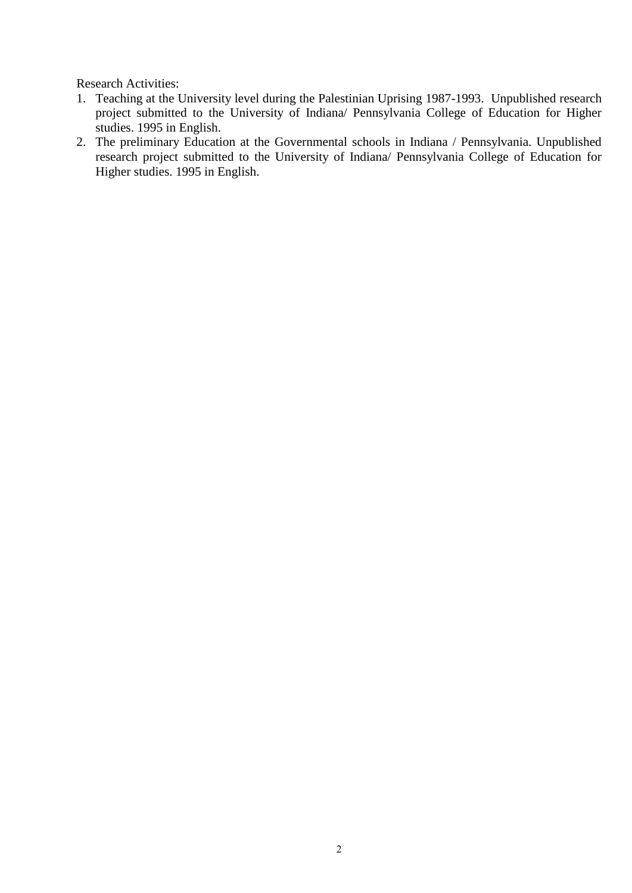Research Activities:

- 1. Teaching at the University level during the Palestinian Uprising 1987-1993. Unpublished research project submitted to the University of Indiana/ Pennsylvania College of Education for Higher studies. 1995 in English.
- 2. The preliminary Education at the Governmental schools in Indiana / Pennsylvania. Unpublished research project submitted to the University of Indiana/ Pennsylvania College of Education for Higher studies. 1995 in English.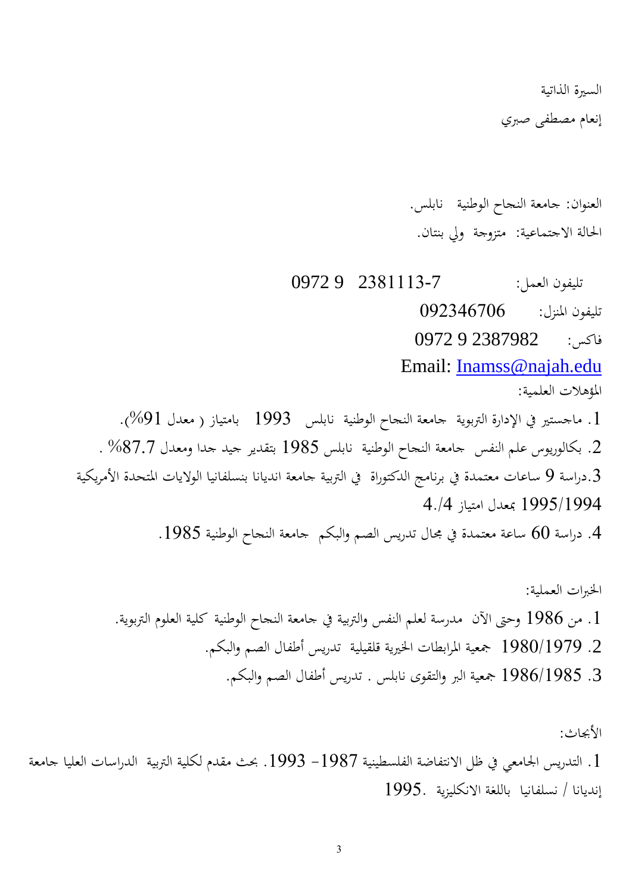السرية الذاتية

إنعام مصطفى صربي

العنوان: جامعة النجاح الوطنية نابلس. احلالة االجتماعية: متزوجة ويل بنتان.

 تليفون العمل: 2311113-7 9 0972 تليفون املنزل: 902340290 فاكس: 2387982 9 0972 Email: [Inamss@najah.edu](mailto:Inamss@najah.edu) املؤهالت العلمية: . ماجستير في الإدارة التربوية جامعة النجاح الوطنية نابلس 1993 بامتياز ( معدل 91%). .2 بكالوريوس علم النفس جامعة النجاح الوطنية نابلس 1011 بتقدير جيد جدا ومعدل %1272 . دراسة 9 ساعات معتمدة في برنامج الدكتوراة في التربية جامعة انديانا بنسلفانيا الولايات المتحدة الأمريكية. 1001/1004 مبعدل امتياز 4./4 . دراسة 60 ساعة معتمدة في مجال تدريس الصم والبكم جامعة النجاح الوطنية 1985.

اخلربات العملية: .1 من 1010 وحىت اآلن مدرسة لعلم النفس والرتبية يف جامعة النجاح الوطنية كلية العلوم الرتبوية. .2 1019/1020 مجعية املرابطات اخلريية قلقيلية تدريس أطفال الصم والبكم. .3 1010/1011 مجعية الرب والتقوى نابلس . تدريس أطفال الصم والبكم.

األجباث: . التدريس الجامعي في ظل الانتفاضة الفلسطينية 1987– 1993. بحث مقدم لكلية التربية الدراسات العليا جامعة . إنديانا / نسلفانيا باللغة االنكليزية 1001.